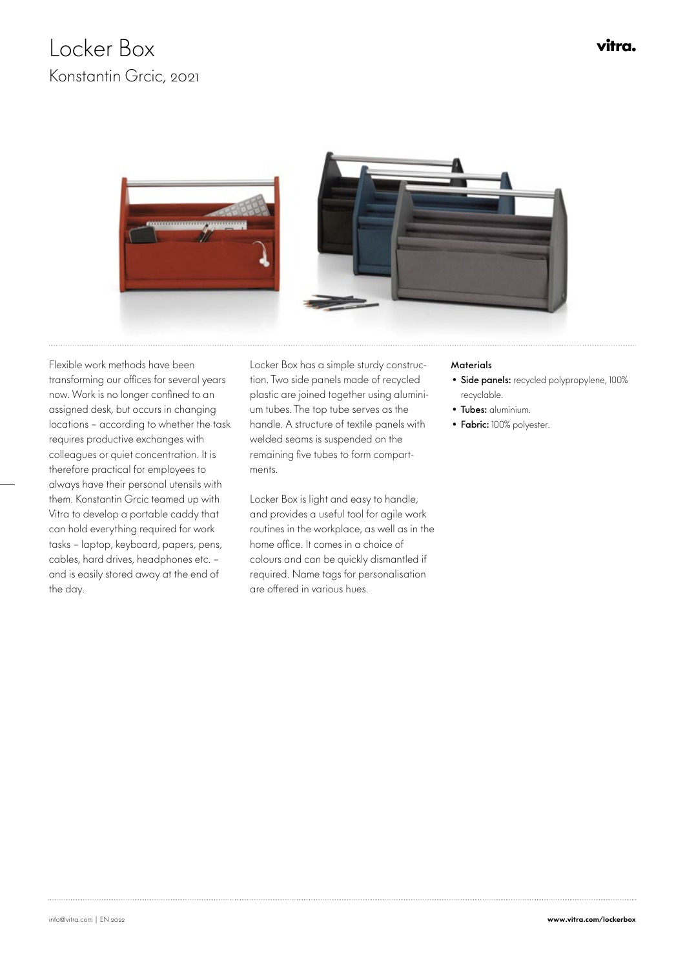## Locker Box Konstantin Grcic, 2021





 Flexible work methods have been transforming our offices for several years now. Work is no longer confined to an assigned desk, but occurs in changing locations – according to whether the task requires productive exchanges with colleagues or quiet concentration. It is therefore practical for employees to always have their personal utensils with them. Konstantin Grcic teamed up with Vitra to develop a portable caddy that can hold everything required for work tasks – laptop, keyboard, papers, pens, cables, hard drives, headphones etc. – and is easily stored away at the end of the day.

Locker Box has a simple sturdy construction. Two side panels made of recycled plastic are joined together using aluminium tubes. The top tube serves as the handle. A structure of textile panels with welded seams is suspended on the remaining five tubes to form compartments.

Locker Box is light and easy to handle, and provides a useful tool for agile work routines in the workplace, as well as in the home office. It comes in a choice of colours and can be quickly dismantled if required. Name tags for personalisation are offered in various hues.

## **Materials**

- Side panels: recycled polypropylene, 100% recyclable.
- Tubes: aluminium.
- Fabric: 100% polyester.